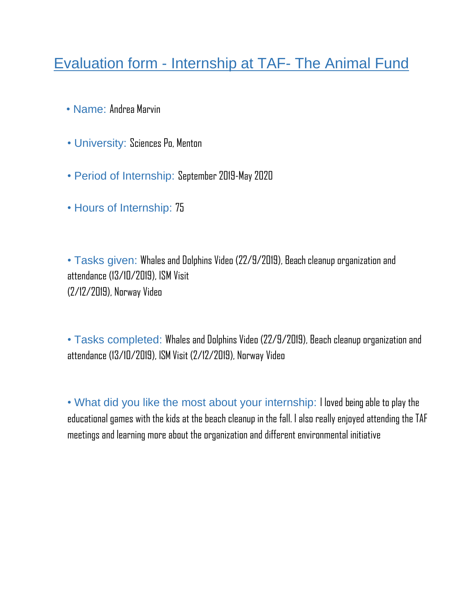## Evaluation form - Internship at TAF- The Animal Fund

- Name: Andrea Marvin
- University: Sciences Po, Menton
- Period of Internship: September 2019-May 2020
- Hours of Internship: 75

• Tasks given: Whales and Dolphins Video (22/9/2019), Beach cleanup organization and attendance (13/10/2019), ISM Visit (2/12/2019), Norway Video

• Tasks completed: Whales and Dolphins Video (22/9/2019), Beach cleanup organization and attendance (13/10/2019), ISM Visit (2/12/2019), Norway Video

• What did you like the most about your internship: I loved being able to play the educational games with the kids at the beach cleanup in the fall. I also really enjoyed attending the TAF meetings and learning more about the organization and different environmental initiative